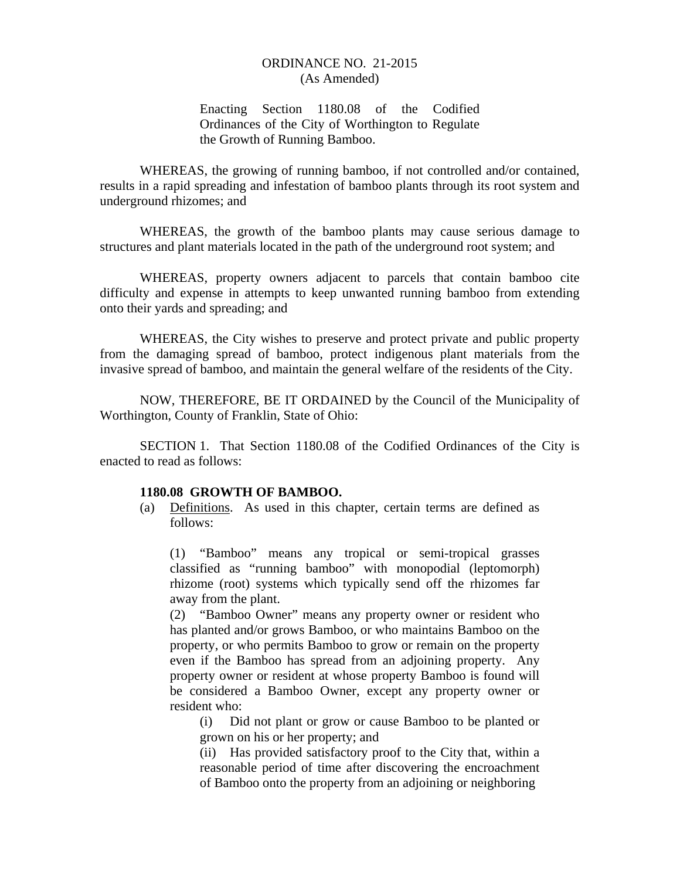# Enacting Section 1180.08 of the Codified Ordinances of the City of Worthington to Regulate the Growth of Running Bamboo.

WHEREAS, the growing of running bamboo, if not controlled and/or contained, results in a rapid spreading and infestation of bamboo plants through its root system and underground rhizomes; and

WHEREAS, the growth of the bamboo plants may cause serious damage to structures and plant materials located in the path of the underground root system; and

WHEREAS, property owners adjacent to parcels that contain bamboo cite difficulty and expense in attempts to keep unwanted running bamboo from extending onto their yards and spreading; and

WHEREAS, the City wishes to preserve and protect private and public property from the damaging spread of bamboo, protect indigenous plant materials from the invasive spread of bamboo, and maintain the general welfare of the residents of the City.

NOW, THEREFORE, BE IT ORDAINED by the Council of the Municipality of Worthington, County of Franklin, State of Ohio:

SECTION 1. That Section 1180.08 of the Codified Ordinances of the City is enacted to read as follows:

### **1180.08 GROWTH OF BAMBOO.**

(a) Definitions. As used in this chapter, certain terms are defined as follows:

 (1) "Bamboo" means any tropical or semi-tropical grasses classified as "running bamboo" with monopodial (leptomorph) rhizome (root) systems which typically send off the rhizomes far away from the plant.

 (2) "Bamboo Owner" means any property owner or resident who has planted and/or grows Bamboo, or who maintains Bamboo on the property, or who permits Bamboo to grow or remain on the property even if the Bamboo has spread from an adjoining property. Any property owner or resident at whose property Bamboo is found will be considered a Bamboo Owner, except any property owner or resident who:

 (i) Did not plant or grow or cause Bamboo to be planted or grown on his or her property; and

(ii) Has provided satisfactory proof to the City that, within a reasonable period of time after discovering the encroachment of Bamboo onto the property from an adjoining or neighboring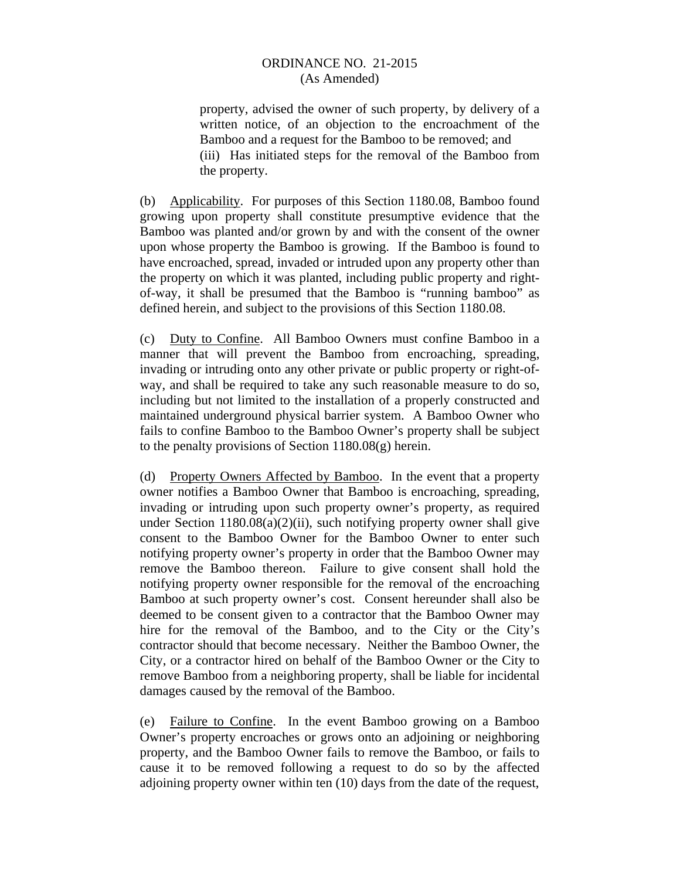property, advised the owner of such property, by delivery of a written notice, of an objection to the encroachment of the Bamboo and a request for the Bamboo to be removed; and (iii) Has initiated steps for the removal of the Bamboo from the property.

(b) Applicability. For purposes of this Section 1180.08, Bamboo found growing upon property shall constitute presumptive evidence that the Bamboo was planted and/or grown by and with the consent of the owner upon whose property the Bamboo is growing. If the Bamboo is found to have encroached, spread, invaded or intruded upon any property other than the property on which it was planted, including public property and rightof-way, it shall be presumed that the Bamboo is "running bamboo" as defined herein, and subject to the provisions of this Section 1180.08.

(c) Duty to Confine. All Bamboo Owners must confine Bamboo in a manner that will prevent the Bamboo from encroaching, spreading, invading or intruding onto any other private or public property or right-ofway, and shall be required to take any such reasonable measure to do so, including but not limited to the installation of a properly constructed and maintained underground physical barrier system. A Bamboo Owner who fails to confine Bamboo to the Bamboo Owner's property shall be subject to the penalty provisions of Section 1180.08(g) herein.

(d) Property Owners Affected by Bamboo. In the event that a property owner notifies a Bamboo Owner that Bamboo is encroaching, spreading, invading or intruding upon such property owner's property, as required under Section  $1180.08(a)(2)(ii)$ , such notifying property owner shall give consent to the Bamboo Owner for the Bamboo Owner to enter such notifying property owner's property in order that the Bamboo Owner may remove the Bamboo thereon. Failure to give consent shall hold the notifying property owner responsible for the removal of the encroaching Bamboo at such property owner's cost. Consent hereunder shall also be deemed to be consent given to a contractor that the Bamboo Owner may hire for the removal of the Bamboo, and to the City or the City's contractor should that become necessary. Neither the Bamboo Owner, the City, or a contractor hired on behalf of the Bamboo Owner or the City to remove Bamboo from a neighboring property, shall be liable for incidental damages caused by the removal of the Bamboo.

(e) Failure to Confine. In the event Bamboo growing on a Bamboo Owner's property encroaches or grows onto an adjoining or neighboring property, and the Bamboo Owner fails to remove the Bamboo, or fails to cause it to be removed following a request to do so by the affected adjoining property owner within ten (10) days from the date of the request,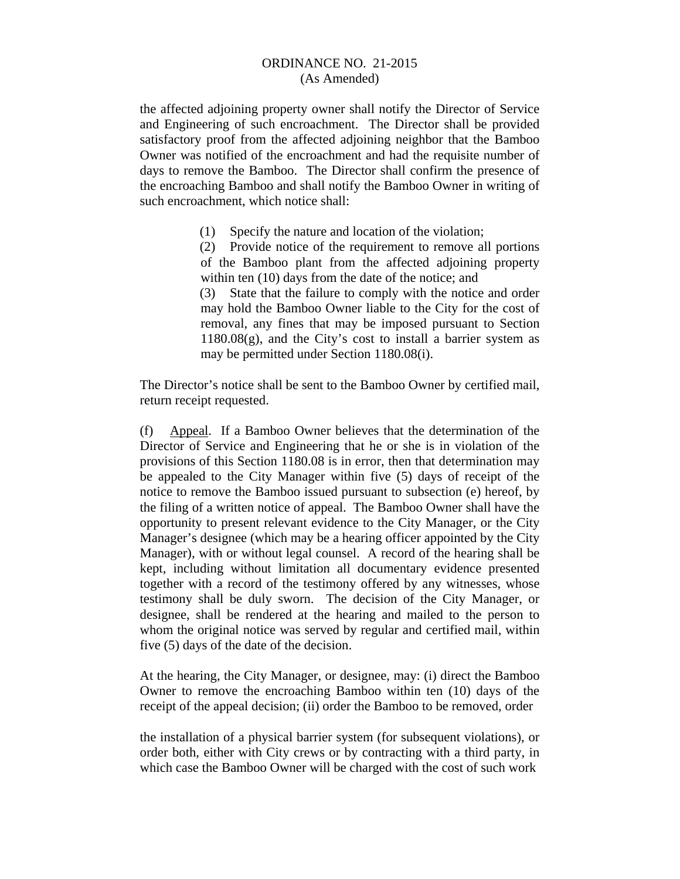the affected adjoining property owner shall notify the Director of Service and Engineering of such encroachment. The Director shall be provided satisfactory proof from the affected adjoining neighbor that the Bamboo Owner was notified of the encroachment and had the requisite number of days to remove the Bamboo. The Director shall confirm the presence of the encroaching Bamboo and shall notify the Bamboo Owner in writing of such encroachment, which notice shall:

(1) Specify the nature and location of the violation;

 (2) Provide notice of the requirement to remove all portions of the Bamboo plant from the affected adjoining property within ten (10) days from the date of the notice; and

 (3) State that the failure to comply with the notice and order may hold the Bamboo Owner liable to the City for the cost of removal, any fines that may be imposed pursuant to Section  $1180.08(g)$ , and the City's cost to install a barrier system as may be permitted under Section 1180.08(i).

The Director's notice shall be sent to the Bamboo Owner by certified mail, return receipt requested.

(f) Appeal. If a Bamboo Owner believes that the determination of the Director of Service and Engineering that he or she is in violation of the provisions of this Section 1180.08 is in error, then that determination may be appealed to the City Manager within five (5) days of receipt of the notice to remove the Bamboo issued pursuant to subsection (e) hereof, by the filing of a written notice of appeal. The Bamboo Owner shall have the opportunity to present relevant evidence to the City Manager, or the City Manager's designee (which may be a hearing officer appointed by the City Manager), with or without legal counsel. A record of the hearing shall be kept, including without limitation all documentary evidence presented together with a record of the testimony offered by any witnesses, whose testimony shall be duly sworn. The decision of the City Manager, or designee, shall be rendered at the hearing and mailed to the person to whom the original notice was served by regular and certified mail, within five (5) days of the date of the decision.

At the hearing, the City Manager, or designee, may: (i) direct the Bamboo Owner to remove the encroaching Bamboo within ten (10) days of the receipt of the appeal decision; (ii) order the Bamboo to be removed, order

the installation of a physical barrier system (for subsequent violations), or order both, either with City crews or by contracting with a third party, in which case the Bamboo Owner will be charged with the cost of such work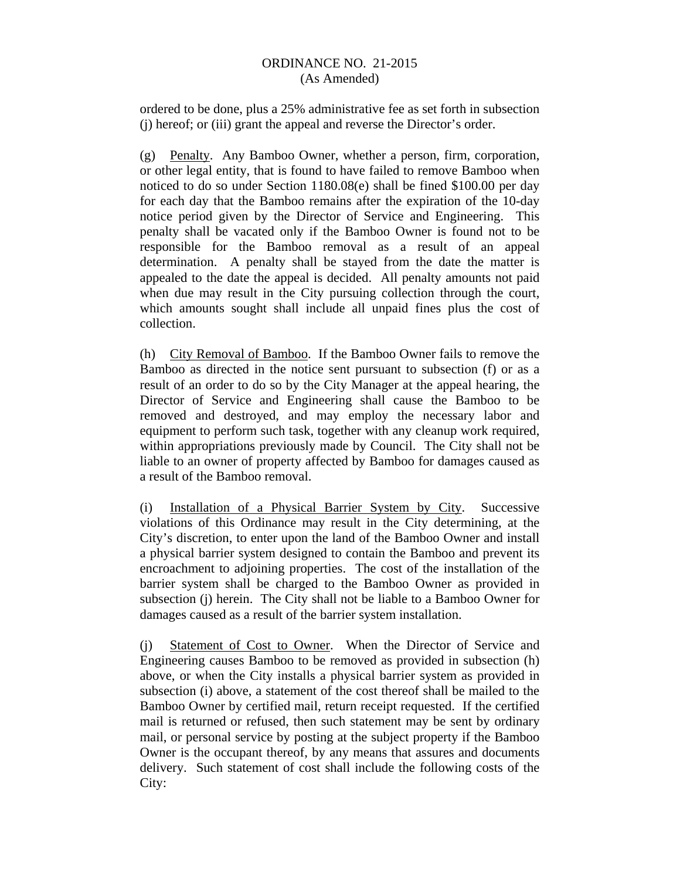ordered to be done, plus a 25% administrative fee as set forth in subsection (j) hereof; or (iii) grant the appeal and reverse the Director's order.

(g) Penalty. Any Bamboo Owner, whether a person, firm, corporation, or other legal entity, that is found to have failed to remove Bamboo when noticed to do so under Section 1180.08(e) shall be fined \$100.00 per day for each day that the Bamboo remains after the expiration of the 10-day notice period given by the Director of Service and Engineering. This penalty shall be vacated only if the Bamboo Owner is found not to be responsible for the Bamboo removal as a result of an appeal determination. A penalty shall be stayed from the date the matter is appealed to the date the appeal is decided. All penalty amounts not paid when due may result in the City pursuing collection through the court, which amounts sought shall include all unpaid fines plus the cost of collection.

(h) City Removal of Bamboo. If the Bamboo Owner fails to remove the Bamboo as directed in the notice sent pursuant to subsection (f) or as a result of an order to do so by the City Manager at the appeal hearing, the Director of Service and Engineering shall cause the Bamboo to be removed and destroyed, and may employ the necessary labor and equipment to perform such task, together with any cleanup work required, within appropriations previously made by Council. The City shall not be liable to an owner of property affected by Bamboo for damages caused as a result of the Bamboo removal.

(i) Installation of a Physical Barrier System by City. Successive violations of this Ordinance may result in the City determining, at the City's discretion, to enter upon the land of the Bamboo Owner and install a physical barrier system designed to contain the Bamboo and prevent its encroachment to adjoining properties. The cost of the installation of the barrier system shall be charged to the Bamboo Owner as provided in subsection (j) herein. The City shall not be liable to a Bamboo Owner for damages caused as a result of the barrier system installation.

(j) Statement of Cost to Owner. When the Director of Service and Engineering causes Bamboo to be removed as provided in subsection (h) above, or when the City installs a physical barrier system as provided in subsection (i) above, a statement of the cost thereof shall be mailed to the Bamboo Owner by certified mail, return receipt requested. If the certified mail is returned or refused, then such statement may be sent by ordinary mail, or personal service by posting at the subject property if the Bamboo Owner is the occupant thereof, by any means that assures and documents delivery. Such statement of cost shall include the following costs of the City: